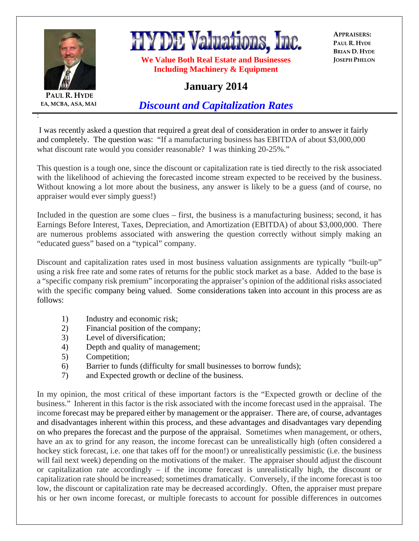

**EA, MCBA, ASA, MAI**

:

**HYDE Valuations, Inc.** 

**We Value Both Real Estate and Businesses Including Machinery & Equipment** 

**APPRAISERS: PAUL R. HYDE BRIAN D. HYDE JOSEPH PHELON**

## **January 2014**

*Discount and Capitalization Rates*

 I was recently asked a question that required a great deal of consideration in order to answer it fairly and completely. The question was: "If a manufacturing business has EBITDA of about \$3,000,000 what discount rate would you consider reasonable? I was thinking 20-25%."

This question is a tough one, since the discount or capitalization rate is tied directly to the risk associated with the likelihood of achieving the forecasted income stream expected to be received by the business. Without knowing a lot more about the business, any answer is likely to be a guess (and of course, no appraiser would ever simply guess!)

Included in the question are some clues – first, the business is a manufacturing business; second, it has Earnings Before Interest, Taxes, Depreciation, and Amortization (EBITDA) of about \$3,000,000. There are numerous problems associated with answering the question correctly without simply making an "educated guess" based on a "typical" company.

Discount and capitalization rates used in most business valuation assignments are typically "built-up" using a risk free rate and some rates of returns for the public stock market as a base. Added to the base is a "specific company risk premium" incorporating the appraiser's opinion of the additional risks associated with the specific company being valued. Some considerations taken into account in this process are as follows:

- 1) Industry and economic risk;
- 2) Financial position of the company;
- 3) Level of diversification;
- 4) Depth and quality of management;
- 5) Competition;
- 6) Barrier to funds (difficulty for small businesses to borrow funds);
- 7) and Expected growth or decline of the business.

In my opinion, the most critical of these important factors is the "Expected growth or decline of the business." Inherent in this factor is the risk associated with the income forecast used in the appraisal. The income forecast may be prepared either by management or the appraiser. There are, of course, advantages and disadvantages inherent within this process, and these advantages and disadvantages vary depending on who prepares the forecast and the purpose of the appraisal. Sometimes when management, or others, have an ax to grind for any reason, the income forecast can be unrealistically high (often considered a hockey stick forecast, i.e. one that takes off for the moon!) or unrealistically pessimistic (i.e. the business will fail next week) depending on the motivations of the maker. The appraiser should adjust the discount or capitalization rate accordingly – if the income forecast is unrealistically high, the discount or capitalization rate should be increased; sometimes dramatically. Conversely, if the income forecast is too low, the discount or capitalization rate may be decreased accordingly. Often, the appraiser must prepare his or her own income forecast, or multiple forecasts to account for possible differences in outcomes